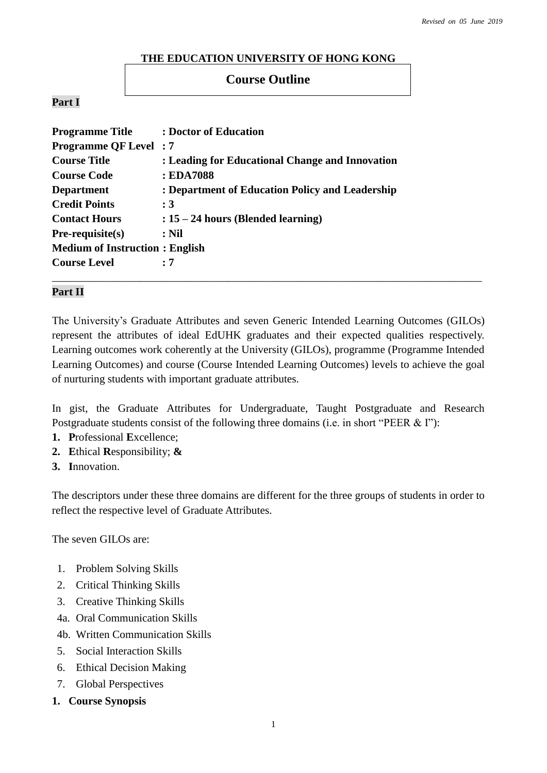### **THE EDUCATION UNIVERSITY OF HONG KONG**

# **Course Outline**

### **Part I**

| <b>Programme Title</b>                | : Doctor of Education                           |
|---------------------------------------|-------------------------------------------------|
| <b>Programme QF Level: 7</b>          |                                                 |
| <b>Course Title</b>                   | : Leading for Educational Change and Innovation |
| <b>Course Code</b>                    | : EDA7088                                       |
| <b>Department</b>                     | : Department of Education Policy and Leadership |
| <b>Credit Points</b>                  | $\colon 3$                                      |
| <b>Contact Hours</b>                  | $: 15 - 24$ hours (Blended learning)            |
| $Pre-requisite(s)$                    | $:$ Nil                                         |
| <b>Medium of Instruction: English</b> |                                                 |
| <b>Course Level</b>                   | :7                                              |
|                                       |                                                 |

### **Part II**

The University's Graduate Attributes and seven Generic Intended Learning Outcomes (GILOs) represent the attributes of ideal EdUHK graduates and their expected qualities respectively. Learning outcomes work coherently at the University (GILOs), programme (Programme Intended Learning Outcomes) and course (Course Intended Learning Outcomes) levels to achieve the goal of nurturing students with important graduate attributes.

In gist, the Graduate Attributes for Undergraduate, Taught Postgraduate and Research Postgraduate students consist of the following three domains (i.e. in short "PEER & I"):

- **1. P**rofessional **E**xcellence;
- **2. E**thical **R**esponsibility; **&**
- **3. I**nnovation.

The descriptors under these three domains are different for the three groups of students in order to reflect the respective level of Graduate Attributes.

The seven GILOs are:

- 1. Problem Solving Skills
- 2. Critical Thinking Skills
- 3. Creative Thinking Skills
- 4a. Oral Communication Skills
- 4b. Written Communication Skills
- 5. Social Interaction Skills
- 6. Ethical Decision Making
- 7. Global Perspectives
- **1. Course Synopsis**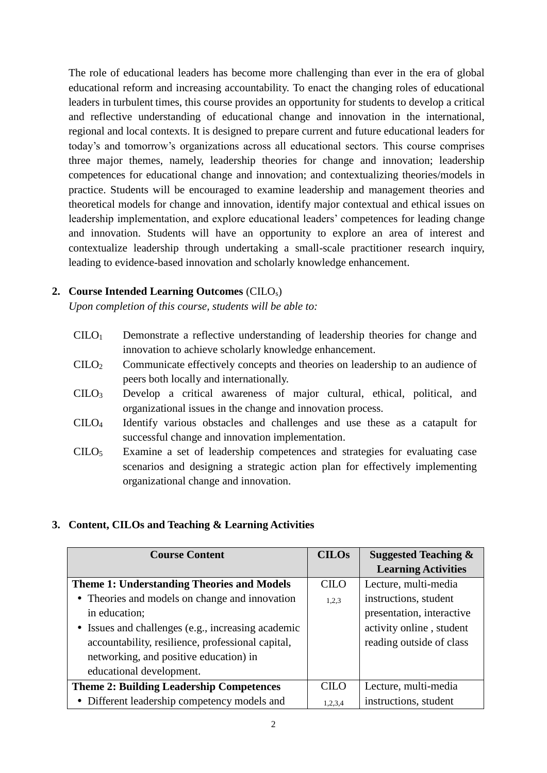The role of educational leaders has become more challenging than ever in the era of global educational reform and increasing accountability. To enact the changing roles of educational leaders in turbulent times, this course provides an opportunity for students to develop a critical and reflective understanding of educational change and innovation in the international, regional and local contexts. It is designed to prepare current and future educational leaders for today's and tomorrow's organizations across all educational sectors. This course comprises three major themes, namely, leadership theories for change and innovation; leadership competences for educational change and innovation; and contextualizing theories/models in practice. Students will be encouraged to examine leadership and management theories and theoretical models for change and innovation, identify major contextual and ethical issues on leadership implementation, and explore educational leaders' competences for leading change and innovation. Students will have an opportunity to explore an area of interest and contextualize leadership through undertaking a small-scale practitioner research inquiry, leading to evidence-based innovation and scholarly knowledge enhancement.

### **2. Course Intended Learning Outcomes** (CILOs)

*Upon completion of this course, students will be able to:*

- CILO<sup>1</sup> Demonstrate a reflective understanding of leadership theories for change and innovation to achieve scholarly knowledge enhancement.
- CILO<sup>2</sup> Communicate effectively concepts and theories on leadership to an audience of peers both locally and internationally.
- CILO<sup>3</sup> Develop a critical awareness of major cultural, ethical, political, and organizational issues in the change and innovation process.
- CILO<sup>4</sup> Identify various obstacles and challenges and use these as a catapult for successful change and innovation implementation.
- CILO<sup>5</sup> Examine a set of leadership competences and strategies for evaluating case scenarios and designing a strategic action plan for effectively implementing organizational change and innovation.

### **3. Content, CILOs and Teaching & Learning Activities**

| <b>Course Content</b>                              | <b>CILOs</b> | <b>Suggested Teaching &amp;</b> |
|----------------------------------------------------|--------------|---------------------------------|
|                                                    |              | <b>Learning Activities</b>      |
| <b>Theme 1: Understanding Theories and Models</b>  | CILO         | Lecture, multi-media            |
| • Theories and models on change and innovation     | 1,2,3        | instructions, student           |
| in education;                                      |              | presentation, interactive       |
| • Issues and challenges (e.g., increasing academic |              | activity online, student        |
| accountability, resilience, professional capital,  |              | reading outside of class        |
| networking, and positive education) in             |              |                                 |
| educational development.                           |              |                                 |
| <b>Theme 2: Building Leadership Competences</b>    | <b>CILO</b>  | Lecture, multi-media            |
| • Different leadership competency models and       | 1,2,3,4      | instructions, student           |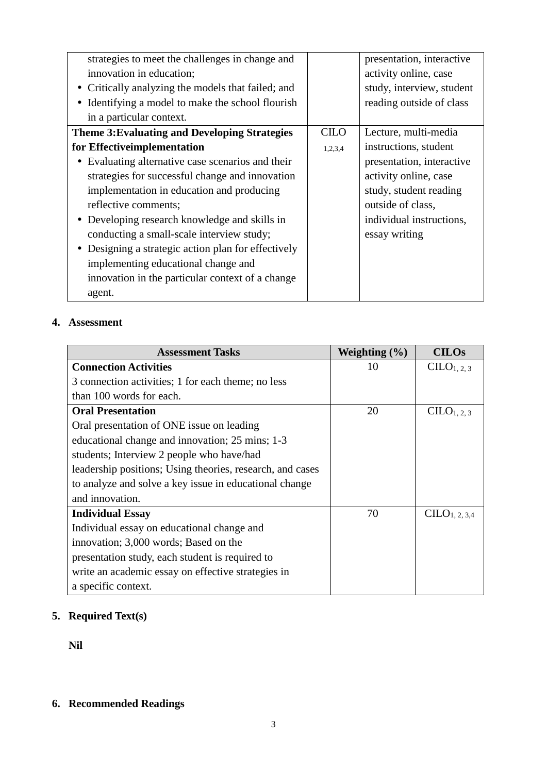| strategies to meet the challenges in change and      |         | presentation, interactive |
|------------------------------------------------------|---------|---------------------------|
| innovation in education;                             |         | activity online, case     |
| • Critically analyzing the models that failed; and   |         | study, interview, student |
| Identifying a model to make the school flourish      |         | reading outside of class  |
| in a particular context.                             |         |                           |
| <b>Theme 3: Evaluating and Developing Strategies</b> | CILO    | Lecture, multi-media      |
| for Effective implementation                         | 1,2,3,4 | instructions, student     |
| Evaluating alternative case scenarios and their      |         | presentation, interactive |
| strategies for successful change and innovation      |         | activity online, case     |
| implementation in education and producing            |         | study, student reading    |
| reflective comments;                                 |         | outside of class,         |
| • Developing research knowledge and skills in        |         | individual instructions,  |
| conducting a small-scale interview study;            |         | essay writing             |
| • Designing a strategic action plan for effectively  |         |                           |
| implementing educational change and                  |         |                           |
| innovation in the particular context of a change     |         |                           |
| agent.                                               |         |                           |

# **4. Assessment**

| <b>Assessment Tasks</b>                                   | Weighting $(\% )$ | <b>CILOs</b>              |
|-----------------------------------------------------------|-------------------|---------------------------|
| <b>Connection Activities</b>                              | 10                | CLLO <sub>1, 2, 3</sub>   |
| 3 connection activities; 1 for each theme; no less        |                   |                           |
| than 100 words for each.                                  |                   |                           |
| <b>Oral Presentation</b>                                  | 20                | CLLO <sub>1, 2, 3</sub>   |
| Oral presentation of ONE issue on leading                 |                   |                           |
| educational change and innovation; 25 mins; 1-3           |                   |                           |
| students; Interview 2 people who have/had                 |                   |                           |
| leadership positions; Using theories, research, and cases |                   |                           |
| to analyze and solve a key issue in educational change    |                   |                           |
| and innovation.                                           |                   |                           |
| <b>Individual Essay</b>                                   | 70                | CILO <sub>1, 2, 3,4</sub> |
| Individual essay on educational change and                |                   |                           |
| innovation; 3,000 words; Based on the                     |                   |                           |
| presentation study, each student is required to           |                   |                           |
| write an academic essay on effective strategies in        |                   |                           |
| a specific context.                                       |                   |                           |

# **5. Required Text(s)**

**Nil**

# **6. Recommended Readings**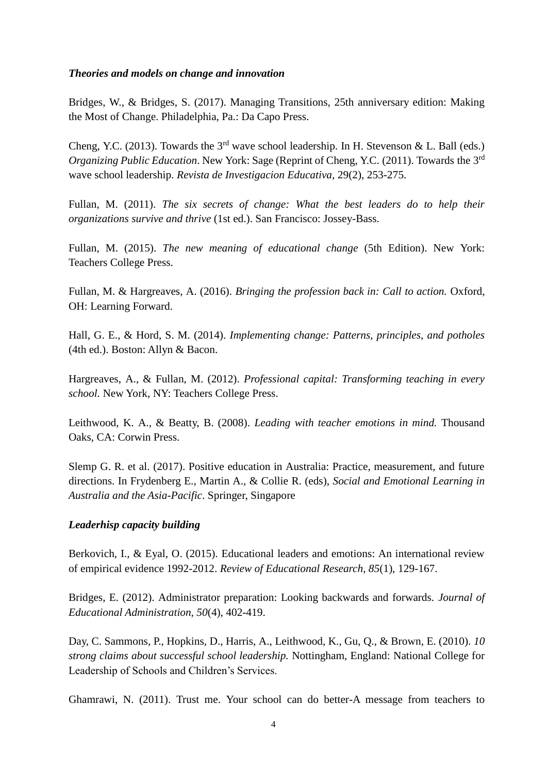#### *Theories and models on change and innovation*

Bridges, W., & Bridges, S. (2017). Managing Transitions, 25th anniversary edition: Making the Most of Change. Philadelphia, Pa.: Da Capo Press.

Cheng, Y.C. (2013). Towards the  $3<sup>rd</sup>$  wave school leadership. In H. Stevenson & L. Ball (eds.) *Organizing Public Education.* New York: Sage (Reprint of Cheng, Y.C. (2011). Towards the 3<sup>rd</sup> wave school leadership. *Revista de Investigacion Educativa,* 29(2), 253-275.

Fullan, M. (2011). *The six secrets of change: What the best leaders do to help their organizations survive and thrive* (1st ed.). San Francisco: Jossey-Bass.

Fullan, M. (2015). *The new meaning of educational change* (5th Edition). New York: Teachers College Press.

Fullan, M. & Hargreaves, A. (2016). *Bringing the profession back in: Call to action.* Oxford, OH: Learning Forward.

Hall, G. E., & Hord, S. M. (2014). *Implementing change: Patterns, principles, and potholes* (4th ed.). Boston: Allyn & Bacon.

Hargreaves, A., & Fullan, M. (2012). *Professional capital: Transforming teaching in every school.* New York, NY: Teachers College Press.

Leithwood, K. A., & Beatty, B. (2008). *Leading with teacher emotions in mind.* Thousand Oaks, CA: Corwin Press.

Slemp G. R. et al. (2017). Positive education in Australia: Practice, measurement, and future directions. In Frydenberg E., Martin A., & Collie R. (eds), *Social and Emotional Learning in Australia and the Asia-Pacific*. Springer, Singapore

### *Leaderhisp capacity building*

Berkovich, I., & Eyal, O. (2015). Educational leaders and emotions: An international review of empirical evidence 1992-2012. *Review of Educational Research, 85*(1), 129-167.

Bridges, E. (2012). Administrator preparation: Looking backwards and forwards. *Journal of Educational Administration, 50*(4), 402-419.

Day, C. Sammons, P., Hopkins, D., Harris, A., Leithwood, K., Gu, Q., & Brown, E. (2010). *10 strong claims about successful school leadership.* Nottingham, England: National College for Leadership of Schools and Children's Services.

Ghamrawi, N. (2011). Trust me. Your school can do better-A message from teachers to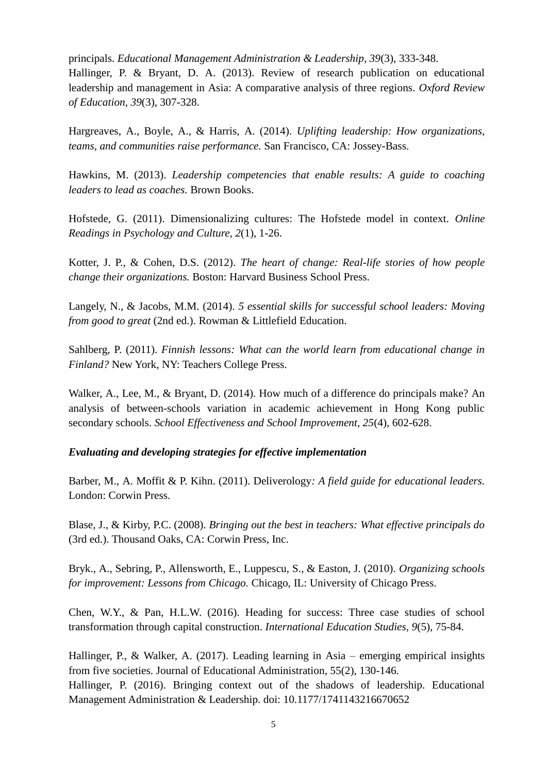principals. *Educational Management Administration & Leadership, 39*(3), 333-348. Hallinger, P. & Bryant, D. A. (2013). Review of research publication on educational leadership and management in Asia: A comparative analysis of three regions. *Oxford Review of Education, 39*(3), 307-328.

Hargreaves, A., Boyle, A., & Harris, A. (2014). *Uplifting leadership: How organizations, teams, and communities raise performance.* San Francisco, CA: Jossey-Bass.

Hawkins, M. (2013). *Leadership competencies that enable results: A guide to coaching leaders to lead as coaches.* Brown Books.

Hofstede, G. (2011). Dimensionalizing cultures: The Hofstede model in context. *Online Readings in Psychology and Culture, 2*(1), 1-26.

Kotter, J. P., & Cohen, D.S. (2012). *The heart of change: Real-life stories of how people change their organizations.* Boston: Harvard Business School Press.

Langely, N., & Jacobs, M.M. (2014). *5 essential skills for successful school leaders: Moving from good to great* (2nd ed.). Rowman & Littlefield Education.

Sahlberg, P. (2011). *Finnish lessons: What can the world learn from educational change in Finland?* New York, NY: Teachers College Press.

Walker, A., Lee, M., & Bryant, D. (2014). How much of a difference do principals make? An analysis of between-schools variation in academic achievement in Hong Kong public secondary schools. *School Effectiveness and School Improvement, 25*(4), 602-628.

#### *Evaluating and developing strategies for effective implementation*

Barber, M., A. Moffit & P. Kihn. (2011). Deliverology*: A field guide for educational leaders.* London: Corwin Press.

Blase, J., & Kirby, P.C. (2008). *Bringing out the best in teachers: What effective principals do* (3rd ed.). Thousand Oaks, CA: Corwin Press, Inc.

Bryk., A., Sebring, P., Allensworth, E., Luppescu, S., & Easton, J. (2010). *Organizing schools for improvement: Lessons from Chicago.* Chicago, IL: University of Chicago Press.

Chen, W.Y., & Pan, H.L.W. (2016). Heading for success: Three case studies of school transformation through capital construction. *International Education Studies, 9*(5), 75-84.

Hallinger, P., & Walker, A. (2017). Leading learning in Asia – emerging empirical insights from five societies. Journal of Educational Administration, 55(2), 130-146. Hallinger, P. (2016). Bringing context out of the shadows of leadership. Educational Management Administration & Leadership. doi: 10.1177/1741143216670652